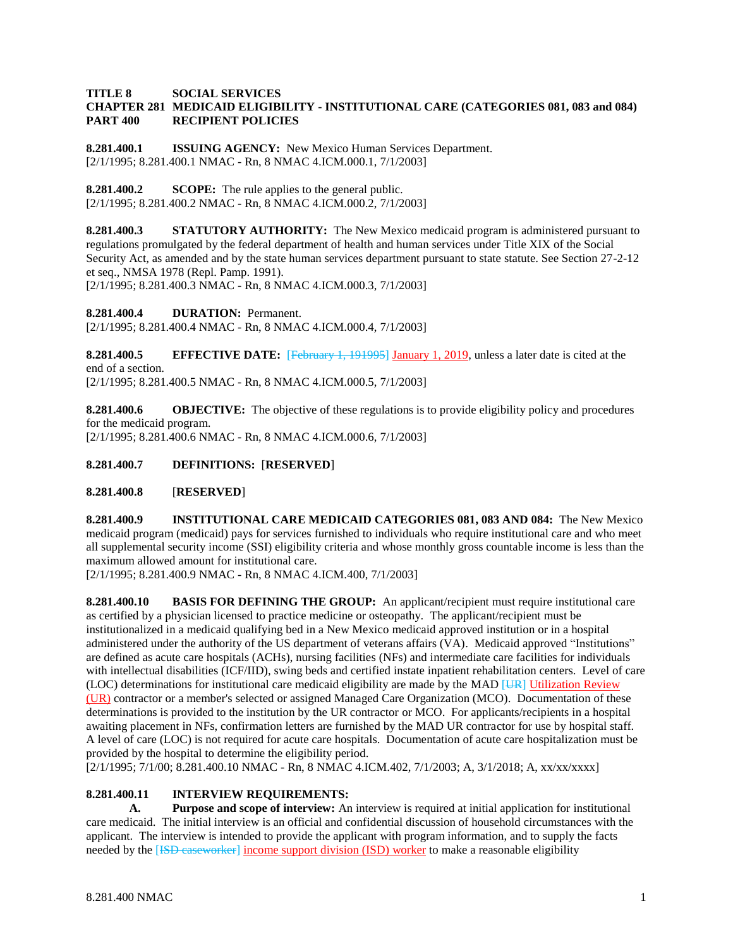### **TITLE 8 SOCIAL SERVICES CHAPTER 281 MEDICAID ELIGIBILITY - INSTITUTIONAL CARE (CATEGORIES 081, 083 and 084) PART 400 RECIPIENT POLICIES**

**8.281.400.1 ISSUING AGENCY:** New Mexico Human Services Department. [2/1/1995; 8.281.400.1 NMAC - Rn, 8 NMAC 4.ICM.000.1, 7/1/2003]

**8.281.400.2 SCOPE:** The rule applies to the general public. [2/1/1995; 8.281.400.2 NMAC - Rn, 8 NMAC 4.ICM.000.2, 7/1/2003]

**8.281.400.3 STATUTORY AUTHORITY:** The New Mexico medicaid program is administered pursuant to regulations promulgated by the federal department of health and human services under Title XIX of the Social Security Act, as amended and by the state human services department pursuant to state statute. See Section 27-2-12 et seq., NMSA 1978 (Repl. Pamp. 1991).

[2/1/1995; 8.281.400.3 NMAC - Rn, 8 NMAC 4.ICM.000.3, 7/1/2003]

**8.281.400.4 DURATION:** Permanent.

[2/1/1995; 8.281.400.4 NMAC - Rn, 8 NMAC 4.ICM.000.4, 7/1/2003]

**8.281.400.5 EFFECTIVE DATE:** [February 1, 191995] January 1, 2019, unless a later date is cited at the end of a section. [2/1/1995; 8.281.400.5 NMAC - Rn, 8 NMAC 4.ICM.000.5, 7/1/2003]

**8.281.400.6 OBJECTIVE:** The objective of these regulations is to provide eligibility policy and procedures for the medicaid program.

[2/1/1995; 8.281.400.6 NMAC - Rn, 8 NMAC 4.ICM.000.6, 7/1/2003]

## **8.281.400.7 DEFINITIONS:** [**RESERVED**]

**8.281.400.8** [**RESERVED**]

**8.281.400.9 INSTITUTIONAL CARE MEDICAID CATEGORIES 081, 083 AND 084:** The New Mexico medicaid program (medicaid) pays for services furnished to individuals who require institutional care and who meet all supplemental security income (SSI) eligibility criteria and whose monthly gross countable income is less than the maximum allowed amount for institutional care.

[2/1/1995; 8.281.400.9 NMAC - Rn, 8 NMAC 4.ICM.400, 7/1/2003]

**8.281.400.10 BASIS FOR DEFINING THE GROUP:** An applicant/recipient must require institutional care as certified by a physician licensed to practice medicine or osteopathy. The applicant/recipient must be institutionalized in a medicaid qualifying bed in a New Mexico medicaid approved institution or in a hospital administered under the authority of the US department of veterans affairs (VA). Medicaid approved "Institutions" are defined as acute care hospitals (ACHs), nursing facilities (NFs) and intermediate care facilities for individuals with intellectual disabilities (ICF/IID), swing beds and certified instate inpatient rehabilitation centers. Level of care (LOC) determinations for institutional care medicaid eligibility are made by the MAD [UR] Utilization Review (UR) contractor or a member's selected or assigned Managed Care Organization (MCO). Documentation of these determinations is provided to the institution by the UR contractor or MCO. For applicants/recipients in a hospital awaiting placement in NFs, confirmation letters are furnished by the MAD UR contractor for use by hospital staff. A level of care (LOC) is not required for acute care hospitals. Documentation of acute care hospitalization must be provided by the hospital to determine the eligibility period.

[2/1/1995; 7/1/00; 8.281.400.10 NMAC - Rn, 8 NMAC 4.ICM.402, 7/1/2003; A, 3/1/2018; A, xx/xx/xxxx]

## **8.281.400.11 INTERVIEW REQUIREMENTS:**

**A. Purpose and scope of interview:** An interview is required at initial application for institutional care medicaid. The initial interview is an official and confidential discussion of household circumstances with the applicant. The interview is intended to provide the applicant with program information, and to supply the facts needed by the [ISD caseworker] income support division (ISD) worker to make a reasonable eligibility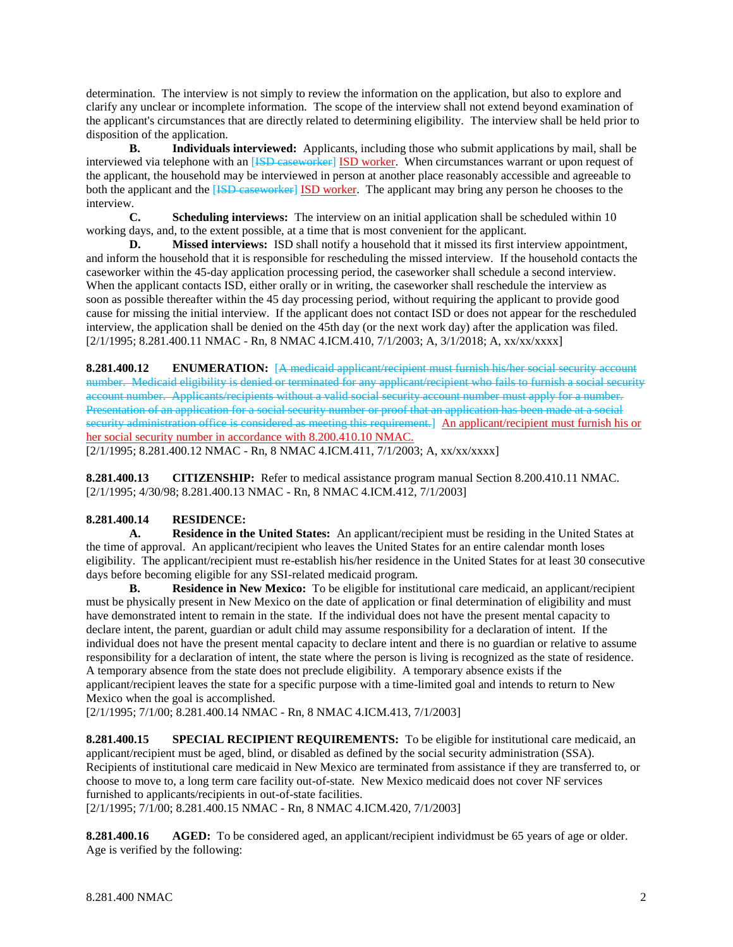determination. The interview is not simply to review the information on the application, but also to explore and clarify any unclear or incomplete information. The scope of the interview shall not extend beyond examination of the applicant's circumstances that are directly related to determining eligibility. The interview shall be held prior to disposition of the application.

**B. Individuals interviewed:** Applicants, including those who submit applications by mail, shall be interviewed via telephone with an [ISD caseworker] ISD worker. When circumstances warrant or upon request of the applicant, the household may be interviewed in person at another place reasonably accessible and agreeable to both the applicant and the [ISD caseworker] ISD worker. The applicant may bring any person he chooses to the interview.

**C. Scheduling interviews:** The interview on an initial application shall be scheduled within 10 working days, and, to the extent possible, at a time that is most convenient for the applicant.

**D. Missed interviews:** ISD shall notify a household that it missed its first interview appointment, and inform the household that it is responsible for rescheduling the missed interview. If the household contacts the caseworker within the 45-day application processing period, the caseworker shall schedule a second interview. When the applicant contacts ISD, either orally or in writing, the caseworker shall reschedule the interview as soon as possible thereafter within the 45 day processing period, without requiring the applicant to provide good cause for missing the initial interview. If the applicant does not contact ISD or does not appear for the rescheduled interview, the application shall be denied on the 45th day (or the next work day) after the application was filed. [2/1/1995; 8.281.400.11 NMAC - Rn, 8 NMAC 4.ICM.410, 7/1/2003; A, 3/1/2018; A, xx/xx/xxxx]

**8.281.400.12 ENUMERATION:** [A medicaid applicant/recipient must furnish his/her social security account number. Medicaid eligibility is denied or terminated for any applicant/recipient who fails to furnish a social security account number. Applicants/recipients without a valid social security account number must apply for a number. Presentation of an application for a social security number or proof that an application has been made at a social security administration office is considered as meeting this requirement.] An applicant/recipient must furnish his or her social security number in accordance with 8.200.410.10 NMAC. [2/1/1995; 8.281.400.12 NMAC - Rn, 8 NMAC 4.ICM.411, 7/1/2003; A, xx/xx/xxxx]

**8.281.400.13 CITIZENSHIP:** Refer to medical assistance program manual Section 8.200.410.11 NMAC. [2/1/1995; 4/30/98; 8.281.400.13 NMAC - Rn, 8 NMAC 4.ICM.412, 7/1/2003]

# **8.281.400.14 RESIDENCE:**

**A. Residence in the United States:** An applicant/recipient must be residing in the United States at the time of approval. An applicant/recipient who leaves the United States for an entire calendar month loses eligibility. The applicant/recipient must re-establish his/her residence in the United States for at least 30 consecutive days before becoming eligible for any SSI-related medicaid program.

**B. Residence in New Mexico:** To be eligible for institutional care medicaid, an applicant/recipient must be physically present in New Mexico on the date of application or final determination of eligibility and must have demonstrated intent to remain in the state. If the individual does not have the present mental capacity to declare intent, the parent, guardian or adult child may assume responsibility for a declaration of intent. If the individual does not have the present mental capacity to declare intent and there is no guardian or relative to assume responsibility for a declaration of intent, the state where the person is living is recognized as the state of residence. A temporary absence from the state does not preclude eligibility. A temporary absence exists if the applicant/recipient leaves the state for a specific purpose with a time-limited goal and intends to return to New Mexico when the goal is accomplished.

[2/1/1995; 7/1/00; 8.281.400.14 NMAC - Rn, 8 NMAC 4.ICM.413, 7/1/2003]

**8.281.400.15 SPECIAL RECIPIENT REQUIREMENTS:** To be eligible for institutional care medicaid, an applicant/recipient must be aged, blind, or disabled as defined by the social security administration (SSA). Recipients of institutional care medicaid in New Mexico are terminated from assistance if they are transferred to, or choose to move to, a long term care facility out-of-state. New Mexico medicaid does not cover NF services furnished to applicants/recipients in out-of-state facilities.

[2/1/1995; 7/1/00; 8.281.400.15 NMAC - Rn, 8 NMAC 4.ICM.420, 7/1/2003]

**8.281.400.16 AGED:** To be considered aged, an applicant/recipient individmust be 65 years of age or older. Age is verified by the following: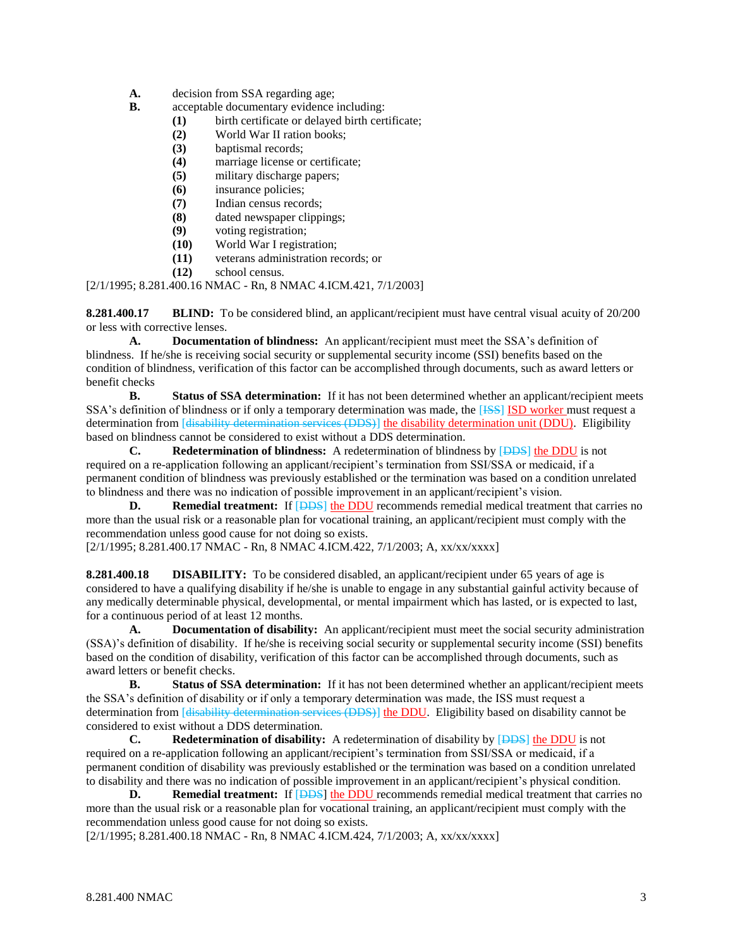- **A.** decision from SSA regarding age;
- **B.** acceptable documentary evidence including:
	- **(1)** birth certificate or delayed birth certificate;
	- **(2)** World War II ration books;
	- **(3)** baptismal records;
	- **(4)** marriage license or certificate;
	- **(5)** military discharge papers;
	- **(6)** insurance policies;
	- **(7)** Indian census records;
	- **(8)** dated newspaper clippings;
	- **(9)** voting registration;
	- **(10)** World War I registration;
	- **(11)** veterans administration records; or
	- **(12)** school census.

[2/1/1995; 8.281.400.16 NMAC - Rn, 8 NMAC 4.ICM.421, 7/1/2003]

**8.281.400.17 BLIND:** To be considered blind, an applicant/recipient must have central visual acuity of 20/200 or less with corrective lenses.

**A. Documentation of blindness:** An applicant/recipient must meet the SSA's definition of blindness. If he/she is receiving social security or supplemental security income (SSI) benefits based on the condition of blindness, verification of this factor can be accomplished through documents, such as award letters or benefit checks<br>**B.** 

**Status of SSA determination:** If it has not been determined whether an applicant/recipient meets SSA's definition of blindness or if only a temporary determination was made, the [ISS] ISD worker must request a determination from [disability determination services (DDS)] the disability determination unit (DDU). Eligibility based on blindness cannot be considered to exist without a DDS determination.

**C. Redetermination of blindness:** A redetermination of blindness by [DDS] the DDU is not required on a re-application following an applicant/recipient's termination from SSI/SSA or medicaid, if a permanent condition of blindness was previously established or the termination was based on a condition unrelated to blindness and there was no indication of possible improvement in an applicant/recipient's vision.

**D. Remedial treatment:** If **[DDS]** the DDU recommends remedial medical treatment that carries no more than the usual risk or a reasonable plan for vocational training, an applicant/recipient must comply with the recommendation unless good cause for not doing so exists.

[2/1/1995; 8.281.400.17 NMAC - Rn, 8 NMAC 4.ICM.422, 7/1/2003; A, xx/xx/xxxx]

**8.281.400.18 DISABILITY:** To be considered disabled, an applicant/recipient under 65 years of age is considered to have a qualifying disability if he/she is unable to engage in any substantial gainful activity because of any medically determinable physical, developmental, or mental impairment which has lasted, or is expected to last, for a continuous period of at least 12 months.

**A. Documentation of disability:** An applicant/recipient must meet the social security administration (SSA)'s definition of disability. If he/she is receiving social security or supplemental security income (SSI) benefits based on the condition of disability, verification of this factor can be accomplished through documents, such as award letters or benefit checks.

**B. Status of SSA determination:** If it has not been determined whether an applicant/recipient meets the SSA's definition of disability or if only a temporary determination was made, the ISS must request a determination from [disability determination services (DDS)] the DDU. Eligibility based on disability cannot be considered to exist without a DDS determination.

**C. Redetermination of disability:** A redetermination of disability by [DDS] the DDU is not required on a re-application following an applicant/recipient's termination from SSI/SSA or medicaid, if a permanent condition of disability was previously established or the termination was based on a condition unrelated to disability and there was no indication of possible improvement in an applicant/recipient's physical condition.

**D. Remedial treatment:** If  $[DBS]$  the DDU recommends remedial medical treatment that carries no more than the usual risk or a reasonable plan for vocational training, an applicant/recipient must comply with the recommendation unless good cause for not doing so exists.

[2/1/1995; 8.281.400.18 NMAC - Rn, 8 NMAC 4.ICM.424, 7/1/2003; A, xx/xx/xxxx]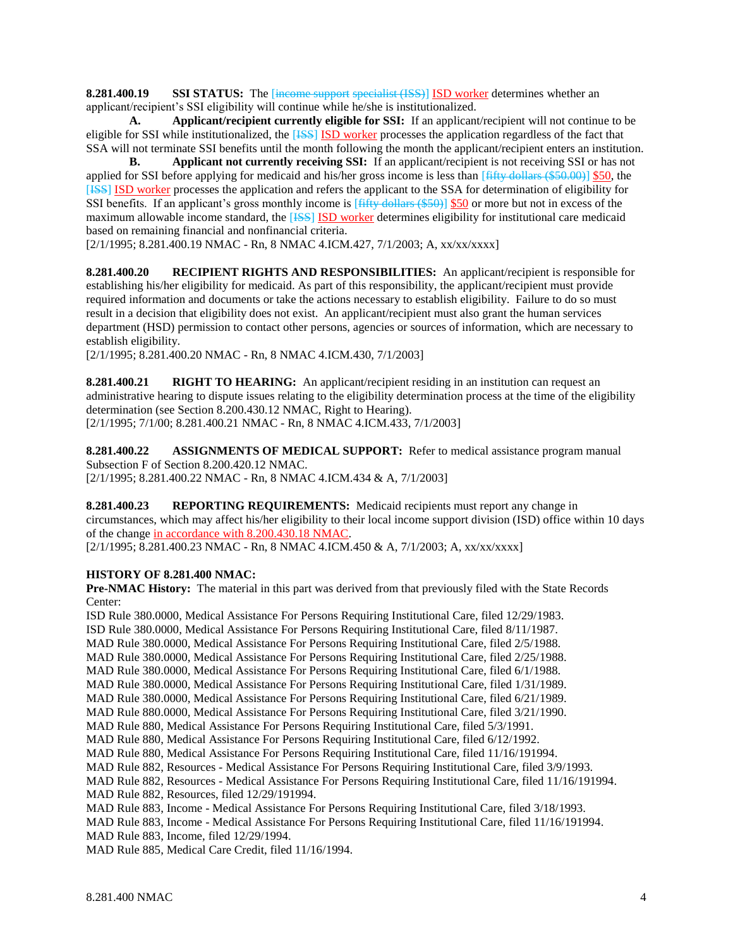**8.281.400.19 SSI STATUS:** The [income support specialist (ISS)] ISD worker determines whether an applicant/recipient's SSI eligibility will continue while he/she is institutionalized.

**A. Applicant/recipient currently eligible for SSI:** If an applicant/recipient will not continue to be eligible for SSI while institutionalized, the [ISS] ISD worker processes the application regardless of the fact that SSA will not terminate SSI benefits until the month following the month the applicant/recipient enters an institution.

**B. Applicant not currently receiving SSI:** If an applicant/recipient is not receiving SSI or has not applied for SSI before applying for medicaid and his/her gross income is less than  $[fity$  dollars (\$50.00)] \$50, the [ISS] ISD worker processes the application and refers the applicant to the SSA for determination of eligibility for SSI benefits. If an applicant's gross monthly income is [fifty dollars (\$50)] \$50 or more but not in excess of the maximum allowable income standard, the **[ISS] ISD** worker determines eligibility for institutional care medicaid based on remaining financial and nonfinancial criteria.

[2/1/1995; 8.281.400.19 NMAC - Rn, 8 NMAC 4.ICM.427, 7/1/2003; A, xx/xx/xxxx]

**8.281.400.20 RECIPIENT RIGHTS AND RESPONSIBILITIES:** An applicant/recipient is responsible for establishing his/her eligibility for medicaid. As part of this responsibility, the applicant/recipient must provide required information and documents or take the actions necessary to establish eligibility. Failure to do so must result in a decision that eligibility does not exist. An applicant/recipient must also grant the human services department (HSD) permission to contact other persons, agencies or sources of information, which are necessary to establish eligibility.

[2/1/1995; 8.281.400.20 NMAC - Rn, 8 NMAC 4.ICM.430, 7/1/2003]

**8.281.400.21 RIGHT TO HEARING:** An applicant/recipient residing in an institution can request an administrative hearing to dispute issues relating to the eligibility determination process at the time of the eligibility determination (see Section 8.200.430.12 NMAC, Right to Hearing). [2/1/1995; 7/1/00; 8.281.400.21 NMAC - Rn, 8 NMAC 4.ICM.433, 7/1/2003]

**8.281.400.22 ASSIGNMENTS OF MEDICAL SUPPORT:** Refer to medical assistance program manual Subsection F of Section 8.200.420.12 NMAC. [2/1/1995; 8.281.400.22 NMAC - Rn, 8 NMAC 4.ICM.434 & A, 7/1/2003]

**8.281.400.23 REPORTING REQUIREMENTS:** Medicaid recipients must report any change in circumstances, which may affect his/her eligibility to their local income support division (ISD) office within 10 days of the change in accordance with 8.200.430.18 NMAC.

[2/1/1995; 8.281.400.23 NMAC - Rn, 8 NMAC 4.ICM.450 & A, 7/1/2003; A, xx/xx/xxxx]

## **HISTORY OF 8.281.400 NMAC:**

**Pre-NMAC History:** The material in this part was derived from that previously filed with the State Records Center:

ISD Rule 380.0000, Medical Assistance For Persons Requiring Institutional Care, filed 12/29/1983. ISD Rule 380.0000, Medical Assistance For Persons Requiring Institutional Care, filed 8/11/1987. MAD Rule 380.0000, Medical Assistance For Persons Requiring Institutional Care, filed 2/5/1988. MAD Rule 380.0000, Medical Assistance For Persons Requiring Institutional Care, filed 2/25/1988. MAD Rule 380.0000, Medical Assistance For Persons Requiring Institutional Care, filed 6/1/1988. MAD Rule 380.0000, Medical Assistance For Persons Requiring Institutional Care, filed 1/31/1989. MAD Rule 380.0000, Medical Assistance For Persons Requiring Institutional Care, filed 6/21/1989. MAD Rule 880.0000, Medical Assistance For Persons Requiring Institutional Care, filed 3/21/1990. MAD Rule 880, Medical Assistance For Persons Requiring Institutional Care, filed 5/3/1991. MAD Rule 880, Medical Assistance For Persons Requiring Institutional Care, filed 6/12/1992. MAD Rule 880, Medical Assistance For Persons Requiring Institutional Care, filed 11/16/191994. MAD Rule 882, Resources - Medical Assistance For Persons Requiring Institutional Care, filed 3/9/1993. MAD Rule 882, Resources - Medical Assistance For Persons Requiring Institutional Care, filed 11/16/191994. MAD Rule 882, Resources, filed 12/29/191994. MAD Rule 883, Income - Medical Assistance For Persons Requiring Institutional Care, filed 3/18/1993. MAD Rule 883, Income - Medical Assistance For Persons Requiring Institutional Care, filed 11/16/191994. MAD Rule 883, Income, filed 12/29/1994.

MAD Rule 885, Medical Care Credit, filed 11/16/1994.